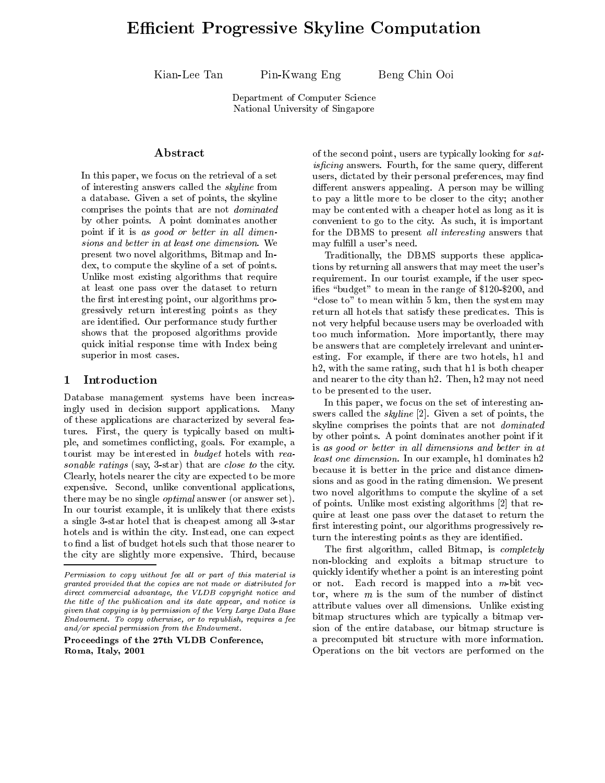# Ecient Progressive Skyline Computation

Kian-Lee

Pin-Kwang Eng Beng Chin Ooi

Department of Computer Science National University of Singapore

### Abstract

In this paper, we focus on the retrieval of a set of interesting answers called the *skyline* from a database. Given aset of points, the skyline comprises the points that are not dominated by other points. A point dominates another point if it is as good or better in all dimensions and better in at least one dimension. We present two novel algorithms, Bitmap and Index, to compute the skyline of a set of points. Unlike most existing algorithms that require at least one pass over the dataset to return the first interesting point, our algorithms progressively return interesting points as they are identied. Our performance study further shows that the proposed algorithms provide quick initial response time with Index being superior in most cases.

### 1 Introduction

Database management systems have been increasingly used in decision support applications. Many of these applications are characterized by several features. First, the query is typically based on multiple, and sometimes con
icting, goals. For example, a tourist may be interested in budget hotels with rea sonable ratings (say, 3-star) that are close to the city. Clearly, hotels nearer the city are expected to be more expensive. Second, unlike conventional applications, there may be no single *optimal* answer (or answer set). In our tourist example, it is unlikely that there exists a single 3-star hotel that is cheapest among all 3-star hotels and is within the city. Instead, one can expect to find a list of budget hotels such that those nearer to the city are slightly more expensive. Third, because

Proceedings of the 27th VLDB Conference, Roma, Italy, <sup>2001</sup>

of the second point, users are typically looking for sat $isficing$  answers. Fourth, for the same query, different users, dictated by their personal preferences, may find different answers appealing. A person may be willing to pay a little more to be closer to the city; another may becontented with a cheaper hotel as long as it is convenient to go to the city. As such, it is important for the DBMS to present all interesting answers that may fulfill a user's need.

Traditionally, the DBMS supports these applications by returning all answers that may meet the user's requirement. In our tourist example, if the user specifies "budget" to mean in the range of \$120-\$200, and "close to" to mean within  $5 \text{ km}$ , then the system may return all hotels that satisfy these predicates. This is not very helpful because users may be overloaded with too much information. More importantly, there may be answers that are completely irrelevant and uninteresting. For example, if there are two hotels, h1 and h2, with the same rating, such that h1 is both cheaper and nearer to the city than h2. Then, h2 may not need to be presented to the user.

In this paper, we focus on the set of interesting answers called the *skyline* [2]. Given a set of points, the skyline comprises the points that are not dominated by other points. A point dominates another point if it is as good or better in all dimensions and better in at least one dimension. In our example, h1 dominates h2 because it is better in the price and distance dimensions and as good in therating dimension. We present two novel algorithms to compute the skyline of a set of points. Unlike most existing algorithms [2] that require at least one pass over the dataset to return the first interesting point, our algorithms progressively return the interesting points as they are identified.

The first algorithm, called Bitmap, is *completely* non-blocking and exploits a bitmap structure to quickly identify whether a point is an interesting point or not. Each record is mapped into a  $m$ -bit vector, where  $m$  is the sum of the number of distinct attribute values over all dimensions. Unlike existing bitmap structures which are typically a bitmap version of the entire database, our bitmap structure is a precomputed bit structure with more information. Operations on the bit vectors are performed on the

 $F$ ermission to copy without fee all or part of this material is  $F = F - F - F$ . granted provided that the copies are not made or distributed for direct commercial advantage, the VLDB copyright notice and and the VLDB co the title of the publication and its date appear, and notice is given that copying is by permission of the Very Large Data Base Data Base of the Very Large Data Base of the V Endowment. To copy otherwise, or to republish, requires <sup>a</sup> fee and a special permission from the Endowment of the Endowment.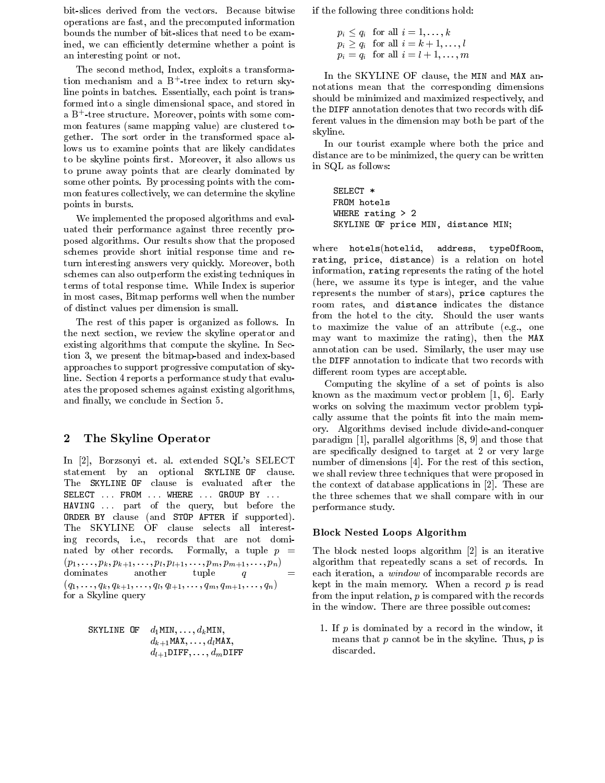bit-slices derived from the vectors. Because bitwise operations are fast, and the precomputed information bounds the number of bit-slices that need to be examined, we can efficiently determine whether a point is an interesting point or not.

The second method, Index, exploits a transformation mechanism and a B+ -tree index to return skyline points in batches. Essentially, each point is transformed into a single dimensional space, and stored in a B+-tree structure. Moreover, points with some common features (same mapping value) are clustered together. The sort order in the transformed space allows us to examine points that are likely candidates to be skyline points first. Moreover, it also allows us to prune away points that are clearly dominated by some other points. By processing points with thecommon features collectively, we can determine the skyline points in bursts.

We implemented the proposed algorithms and evaluated their performance against three recently proposed algorithms. Our results show that the proposed schemes provide short initial response time and return interesting answers very quickly. Moreover, both schemes can also outperform the existing techniques in terms of total response time. While Index is superior in most cases, Bitmap performs well when the number of distinct values per dimension is small.

The rest of this paper is organized as follows. In the next section, we review the skyline operator and existing algorithms that compute the skyline. In Section 3, we present the bitmap-based and index-based approaches to support progressive computation of skyline. Section 4 reports a performance study that evaluates the proposed schemes against existing algorithms, and finally, we conclude in Section 5.

#### $\bf{2}$ The Skyline Operator

In [2], Borzsonyi et. al. extended SQL's SELECT statement by an optional SKYLINE OF clause. The SKYLINE OF clause is evaluated after the SELECT ... FROM ... WHERE ... GROUP BY ... HAVING ... part of the query, but before the ORDER BY clause (and STOP AFTER if supported). The SKYLINE OF clause selects all interesting records, i.e., records that are not dominated by other records. Formally, a tuple  $p =$  $(p_1,\ldots,p_k,p_{k+1},\ldots,p_l,p_{l+1},\ldots,p_m,p_{m+1},\ldots,p_n)$  $=$  $(q_1,\ldots,q_k, q_{k+1},\ldots,q_l, q_{l+1},\ldots,q_m, q_{m+1},\ldots,q_n)$ for a Skyline query

$$
\begin{array}{ll}\texttt{SKYLINE OF} & d_1\texttt{MIN}, \dots, d_k\texttt{MIN},\\ & d_{k+1}\texttt{MAX}, \dots, d_l\texttt{MAX},\\ & d_{l+1}\texttt{DIFF}, \dots, d_m\texttt{DIFF}\end{array}
$$

if the following three conditions hold:

 $p_i \le q_i$  for all  $i = 1,\ldots,k$  $p_i \ge q_i$  for all  $i = k + 1, \ldots, l$  $p_i = q_i$  for all  $i = l + 1, \ldots, m$ 

In the SKYLINE OF clause, the MIN and MAX annotations mean that the corresponding dimensions should be minimized and maximized respectively, and the DIFF annotation denotes that two records with different values in the dimension may both be part of the skyline.

In our tourist example where both the price and distance are to be minimized, the query can be written in SQL as follows:

```
SELECT *
FROM hotels
WHERE rating > 2
SKYLINE OF price MIN, distance MIN;
```
where hotels(hotelid, address, typeOfRoom, rating, price, distance) is a relation on hotel information, rating represents the rating of the hotel (here, we assume its type is integer, and the value represents the number of stars), price captures the room rates, and distance indicates the distance from the hotel to the city. Should the user wants to maximize the value of an attribute (e.g., one may want to maximize the rating), then the MAX annotation can be used. Similarly, the user may use the DIFF annotation to indicate that two records with different room types are acceptable.

Computing the skyline of a set of points is also known as the maximum vector problem [1, 6]. Early works on solving the maximum vector problem typically assume that the points fit into the main memory. Algorithms devised include divide-and-conquer paradigm [1], parallel algorithms [8, 9] and those that are specically designed to target at 2 or very large number of dimensions [4]. For the rest of this section, we shall review three techniques that were proposed in the context of database applications in [2]. These are the three schemes that we shall compare with in our performance study.

### Block Nested Loops Algorithm

dominates another tuple  $q =$  each iteration, a window of incomparable records are The block nested loops algorithm [2] is an iterative algorithm that repeatedly scans a setof records. In kept in the main memory. When a record  $p$  is read from the input relation,  $p$  is compared with the records in the window. There are three possible outcomes:

> 1. If  $p$  is dominated by a record in the window, it means that  $p$  cannot be in the skyline. Thus,  $p$  is discarded.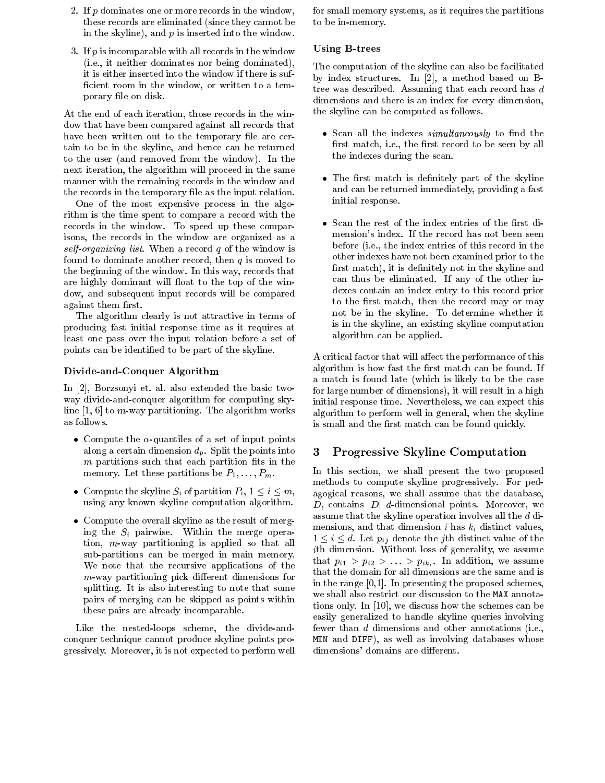- 2. If  $p$  dominates one or more records in the window, these records are eliminated (since they cannot be in the skyline), and  $p$  is inserted into the window.
- 3. If  $p$  is incomparable with all records in the window (i.e., it neither dominates nor being dominated), it is either inserted into the window if there is suf ficient room in the window, or written to a temporary file on disk.

At the end of each iteration, those records in thewindow that have been compared against all records that have been written out to the temporary file are certain to be in the skyline, and hence can be returned to the user (and removed from the window). In the next iteration, the algorithm will proceed in the same manner with the remaining records in the window and the records in the temporary file as the input relation.

One of the most expensive process in the algorithm is the time spent to compare a record with the records in the window. To speed up these comparisons, the records in the window are organized as a self-organizing list. When a record  $q$  of the window is found to dominate another record, then  $q$  is moved to the beginning of the window. In this way, records that are highly dominant will float to the top of the window, and subsequent input records will be compared against them first.

The algorithm clearly is not attractive in terms of producing fast initial response time as it requires at least one pass over the input relation before a setof points can be identied to be part of the skyline.

### Divide-and-Conquer Algorithm

In [2], Borzsonyi et. al. also extended the basic two way divide-and-conquer algorithm for computing skyline  $[1, 6]$  to m-way partitioning. The algorithm works as follows.

- Compute the  $\alpha$ -quantiles of a set of input points along a certain dimension  $d_p$ . Split the points into 3  $m$  partitions such that each partition fits in the memory. Let these partitions be  $P_1,\ldots,P_m$ .
- Compute the skyline  $S_i$  of partition  $P_i, 1 \leq i \leq m$ , using any known skyline computation algorithm.
- Compute the overall skyline as the result of merging the  $S_i$  pairwise. Within the merge operation, m-way partitioning is applied so that all sub-partitions can be merged in main memory. We note that the recursive applications of the  $m$ -way partitioning pick different dimensions for splitting. It is also interesting to note that some pairs of merging can be skipped as points within these pairs are already incomparable.

Like the nested-loops scheme, the divide-andconquer technique cannot produce skyline points progressively. Moreover, it is not expected to perform well for small memory systems, as it requires the partitions to be in-memory.

### Using B-trees

The computation of the skyline can also be facilitated by index structures. In [2], a method based on Btree was described. Assuming that each record has  $d$ dimensions and there is an index for every dimension, the skyline can be computed as follows.

- Scan all the indexes  $simultaneously$  to find the first match, i.e., the first record to be seen by all the indexes during the scan.
- The first match is definitely part of the skyline and can be returned immediately, providing a fast initial response.
- Scan the rest of the index entries of the first dimension's index. If the record has not been seen before (i.e., the index entries of this record in the other indexes have not been examined prior to the first match), it is definitely not in the skyline and can thus be eliminated. If any of the other indexes contain an index entry to this record prior to the first match, then the record may or may not be in the skyline. To determine whether it is in the skyline, an existing skyline computation algorithm can be applied.

A critical factor that will affect the performance of this algorithm is how fast the first match can be found. If a match is found late (which is likely to be the case for large number of dimensions), it will result in a high initial response time. Nevertheless, we can expect this algorithm to perform well in general, when the skyline is small and the first match can be found quickly.

## 3 Progressive Skyline Computation

In this section, we shall present the two proposed methods to compute skyline progressively. For pedagogical reasons, we shall assume that the database, D, contains  $|D|$  d-dimensional points. Moreover, we assume that the skyline operation involves all the d dimensions, and that dimension  $i$  has  $k_i$  distinct values,  $\frac{1}{1}$   $\frac{1}{1}$  iii denote the juncaii denote the juncaii denote the juncaii denote the juncaii denote the juncaii denote the juncaii denote the juncaii denote the juncaii denote the juncaii denote the juncaii denote ith dimension. Without loss of generality, we assume that  $p_{i1} > p_{i2} > \ldots > p_{ik_i}$ . In addition, we assume that the domain for all dimensions are the same and is in the range  $[0,1]$ . In presenting the proposed schemes, we shall also restrict our discussion to the MAX annotations only. In [10], we discuss how the schemes can be easily generalized to handle skyline queries involving fewer than d dimensions and other annotations (i.e., MIN and DIFF), as well as involving databases whose dimensions' domains are different.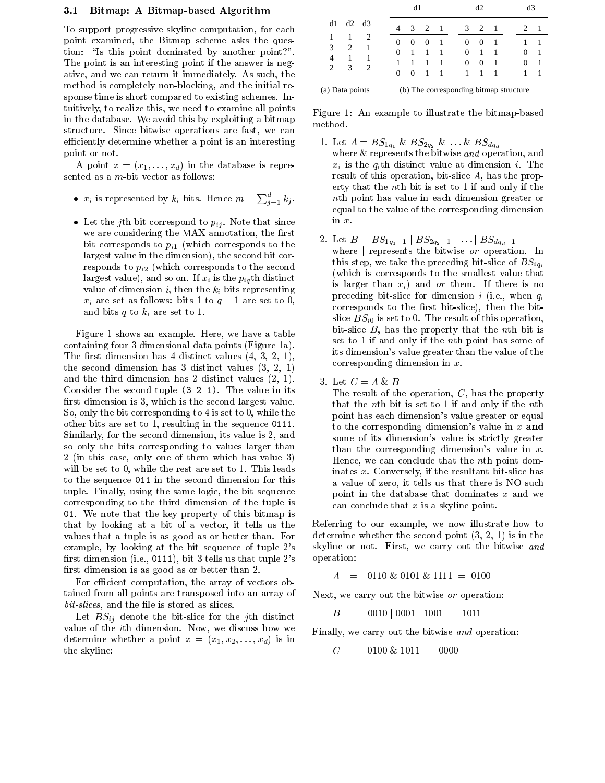### 3.1 Bitmap: A Bitmap-based Algorithm

To support progressive skyline computation, for each point examined, the Bitmap scheme asks the question: "Is this point dominated by another point?". The point is an interesting point if the answer is negative, and we can return it immediately. As such, the method is completely non-blocking, and the initial re- $($ a sponse time is short compared to existing schemes. Intuitively, to realize this, we need to examine all points in the database. We avoid this by exploiting a bitmap structure. Since bitwise operations are fast, we can efficiently determine whether a point is an interesting point or not.

A point  $x = (x_1, \ldots, x_d)$  in the database is represented as a  $m$ -bit vector as follows:

- $x_i$  is represented by  $k_i$  bits. Hence  $m = \sum_{j=1}^a k_j$ .  $n \text{th point } \text{l}$
- Let the j<sup>th</sup> bit correspond to  $p_{ij}$ . Note that since we are considering the MAX annotation, the first bit corresponds to  $p_{i1}$  (which corresponds to the largest value in thedimension), the second bit corresponds to  $p_{i2}$  (which corresponds to the second largest value), and so on. If  $x_i$  is the  $p_{ia}$ th distinct value of dimension  $i$ , then the  $k_i$  bits representing  $x_i$  are set as follows: bits 1 to  $q-1$  are set to 0, and bits q to  $k_i$  are set to 1.

Figure 1 shows an example. Here, we have a table containing four 3 dimensional data points (Figure 1a). The first dimension has 4 distinct values  $(4, 3, 2, 1)$ , the second dimension has 3 distinct values (3, 2, 1) and the third dimension has 2 distinct values (2, 1). Consider the second tuple (3 2 1). The value in its first dimension is 3, which is the second largest value. So, only the bit corresponding to 4 is set to 0, while the other bits are set to 1, resulting in thesequence 0111.Similarly, for the second dimension, its value is 2, and so only the bits corresponding to values larger than  $\theta$  than the corresponding dimension's value in x. 2 (in this case, only one of them which has value 3) will be set to 0, while the rest are set to 1. This leads to the sequence 011 in the second dimension for this tuple. Finally, using the same logic, the bit sequence corresponding to the third dimension of the tuple is 01. We note that the key property of this bitmap is that by looking at a bitofa vector, it tells us the values that a tuple is as good as or better than. For example, by looking at the bit sequence of tuple 2's first dimension (i.e.,  $0111$ ), bit 3 tells us that tuple 2's first dimension is as good as or better than 2.

For efficient computation, the array of vectors obtained from all points are transposed into an array of bit-slices, and the file is stored as slices.

Let  $BS_{ij}$  denote the bit-slice for the jth distinct value of the ith dimension. Now, we discuss how we determine whether a point  $x = (x_1, x_2, \ldots, x_d)$  is in the skyline:

|                 |        |               |                                        |   |          |          |   |  |                      |               |                | d3     |  |
|-----------------|--------|---------------|----------------------------------------|---|----------|----------|---|--|----------------------|---------------|----------------|--------|--|
| d1              |        | $d2 \quad d3$ |                                        | 4 | 3        | 2 1      |   |  | 3                    | 2             | $\blacksquare$ | 2      |  |
| 3               | 2      | 2<br>1        |                                        | 0 | $\Omega$ | $\theta$ | 1 |  | 0                    | $\theta$      |                |        |  |
| 4<br>2          | 1<br>3 | 2             |                                        | 0 | 1<br>1   |          |   |  | $\Omega$<br>$\Omega$ | 1<br>$\Omega$ |                | 0<br>0 |  |
|                 |        |               |                                        | 0 | 0        | 1        |   |  | 1                    | 1             |                |        |  |
| (a) Data points |        |               | (b) The corresponding bitmap structure |   |          |          |   |  |                      |               |                |        |  |

Figure 1: An example to illustrate the bitmap-based method.

- 1. Let  $A = BS_{1q_1} \& BS_{2q_2} \& \dots \& BS_{dq_d}$ where & represents the bitwise and operation, and  $x_i$  is the  $q_i$ th distinct value at dimension i. The result of this operation, bit-slice  $A$ , has the property that the nth bit is set to 1 if and only if the  $n<sup>th</sup>$  point has value in each dimension greater or equal to the value of the corresponding dimension in x.
- 2. Let  $B = BS_{1q_1-1} | BS_{2q_2-1} | ... | BS_{dq_d-1}$ where  $\parallel$  represents the bitwise  $or$  operation. In this step, we take the preceding bit-slice of  $BS_{iq_i}$ (which is corresponds to the smallest value that is larger than  $x_i$ ) and or them. If there is no preceding bit-slice for dimension i (i.e., when  $q_i$ ) corresponds to the first bit-slice), then the bitslice  $BS_{i0}$  is set to 0. The result of this operation, bit-slice  $B$ , has the property that the nth bit is set to 1 if and only if the nth point has some of its dimension's value greater than thevalue of the corresponding dimension in  $x$ .
- 3. Let  $C = A \& B$

The result of the operation,  $C$ , has the property that the nth bit is set to 1 if and only if the nth point has each dimension's value greater or equal to the corresponding dimension's value in  $x$  and some of its dimension's value is strictly greater Hence, we can conclude that the nth point dominates x. Conversely, if the resultant bit-slice has a value of zero, it tells us that there is NO such point in the database that dominates  $x$  and we can conclude that  $x$  is a skyline point.

Referring to our example, we now illustrate how to determine whether the second point (3, 2, 1) is in the skyline or not. First, we carry out the bitwise and operation:

$$
4 = 0110 \& 0101 \& 1111 = 0100
$$

Next, we carry out the bitwise or operation:

B = 0010 j <sup>0001</sup> j <sup>1001</sup> <sup>=</sup> <sup>1011</sup>

Finally, we carry out the bitwise and operation:

 $C = 0100 \& 1011 = 0000$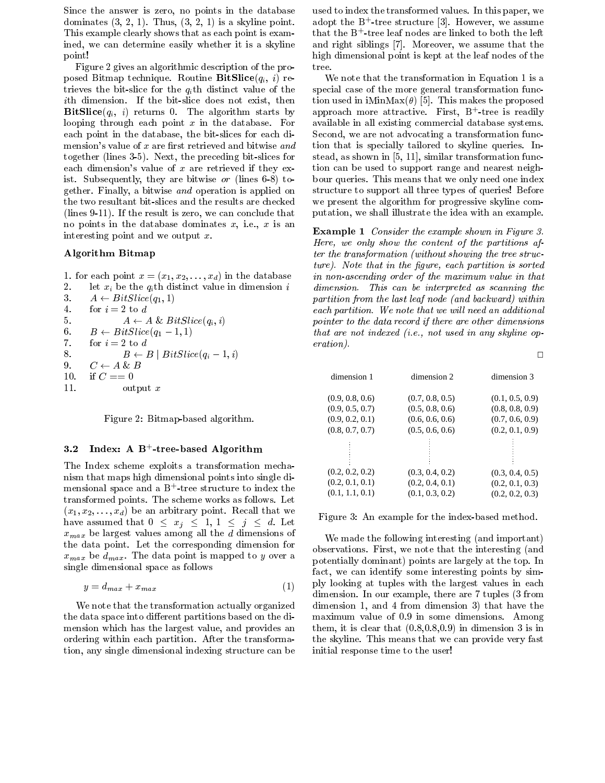Since the answer is zero, no points in the database dominates  $(3, 2, 1)$ . Thus,  $(3, 2, 1)$  is a skyline point. This example clearly shows that as each point is examined, we can determine easily whether it is a skyline point!

Figure 2 gives an algorithmic description of the proposed Bitmap technique. Routine BitSlice $(q_i, i)$  retrieves the bit-slice for the  $q_i$ th distinct value of the ith dimension. If the bit-slice does not exist, then  $BitSlice(q_i, i)$  returns 0. The algorithm starts by looping through each point  $x$  in the database. For each point in the database, the bit-slices for each dimension's value of  $x$  are first retrieved and bitwise and together (lines 3-5). Next, the preceding bit-slices for each dimension's value of  $x$  are retrieved if they exist. Subsequently, they are bitwise or (lines 6-8) together. Finally, a bitwise and operation is applied on the two resultant bit-slices and the results are checked (lines 9-11). If the result is zero, we can conclude that no points in the database dominates  $x$ , i.e.,  $x$  is an interesting point and we output x.

#### Algorithm Bitmap

1. for each point  $x = (x_1, x_2, \ldots, x_d)$  in the database 2. let  $x_i$  be the  $q_i$ th distinct value in dimension i 3.  $A \leftarrow BitSlice(q_1, 1)$ 4. for  $i = 2$  to d 5.  $A \leftarrow A \& Bitslice(q_i, i)$ 6.  $B \leftarrow BitSlice(q_1 - 1, 1)$ 7. for  $i = 2$  to  $d$ 8.  $B \leftarrow B | \text{BitSlice}(q_i - 1, i)$ 9.  $C \leftarrow A \& B$ 10. if  $C == 0$ 11. output x = 11. output x = 11. output x = 11. output x = 11. output x = 11. output x = 11. output x = 11. o

Figure 2: Bitmap-based algorithm.

#### $3.2$  Index: A B -tree-based Algorithm

The Index scheme exploits a transformation mechanism that maps high dimensional points into single dimensional space and a  $B + t$ ree structure to modes the  $\alpha_{A-1,1}$   $\alpha$ transformed points. The scheme works as follows. Let  $(x_1, x_2,...,x_d)$  be an arbitrary point. Recall that we have assumed that  $0 \leq x_j \leq 1, 1 \leq j \leq d$ . Let  $x_{max}$  be largest values among all the d dimensions of the data point. Let the corresponding dimension for  $x_{max}$  be  $d_{max}$ . The data point is mapped to y over a single dimensional space as follows

$$
y = d_{max} + x_{max} \tag{1} \tag{1} \quad \text{Piy OOKII}
$$

We note that the transformation actually organized the data space into different partitions based on the dimension which has the largest value, and provides an ordering within each partition. After the transformation, any single dimensional indexing structure can be used to index the transformed values. In this paper, we adopt the  $B_{\text{+}}$  -tree structure  $\vert 3 \vert$ . However, we assume that the B<sup>+</sup> -tree leaf nodes are linked to both theleft and right siblings [7]. Moreover, we assume that the high dimensional point is kept at the leaf nodes of the

We note that the transformation in Equation 1 is a special case of the more general transformation function used in  $iMinMax(\theta)$  [5]. This makes the proposed approach more attractive. First, B<sup>+</sup> -tree is readily available in all existing commercial database systems. Second, we are not advocating a transformation function that is specially tailored to skyline queries. Instead, as shown in  $[5, 11]$ , similar transformation function can be used to support range and nearest neighbour queries. This means that we only need one index structure to support all three types of queries! Before we present the algorithm for progressive skyline computation, we shall illustrate the idea with an example.

Example 1 Consider the example shown in Figure 3. Here, we only show the content of the partitions after the transformation (without showing the tree struc $ture)$ . Note that in the figure, each partition is sorted in non-ascending order of the maximum value in that dimension. This can be interpreted as scanning the partition from the last leaf node (and backward) within each partition. We note that we will need an additional pointer to the data record if there are other dimensions that are not indexed (i.e., not used in any skyline op eration).

| dimension 1     | dimension 2     | dimension 3     |
|-----------------|-----------------|-----------------|
| (0.9, 0.8, 0.6) | (0.7, 0.8, 0.5) | (0.1, 0.5, 0.9) |
| (0.9, 0.5, 0.7) | (0.5, 0.8, 0.6) | (0.8, 0.8, 0.9) |
| (0.9, 0.2, 0.1) | (0.6, 0.6, 0.6) | (0.7, 0.6, 0.9) |
| (0.8, 0.7, 0.7) | (0.5, 0.6, 0.6) | (0.2, 0.1, 0.9) |
|                 |                 |                 |
|                 |                 |                 |
| (0.2, 0.2, 0.2) | (0.3, 0.4, 0.2) | (0.3, 0.4, 0.5) |
| (0.2, 0.1, 0.1) | (0.2, 0.4, 0.1) | (0.2, 0.1, 0.3) |
| (0.1, 1.1, 0.1) | (0.1, 0.3, 0.2) | (0.2, 0.2, 0.3) |

Figure 3: An example for the index-based method.

We made the following interesting (and important) observations. First, we note that the interesting (and potentially dominant) points are largely at the top. In fact, we can identify some interesting points by simply looking at tuples with the largest values in each dimension. In our example, there are 7 tuples (3 from dimension 1, and 4 from dimension 3) that have the maximum value of 0.9 in some dimensions. Among them, it is clear that  $(0.8, 0.8, 0.9)$  in dimension 3 is in the skyline. This means that we can provide very fast initial response time to the user!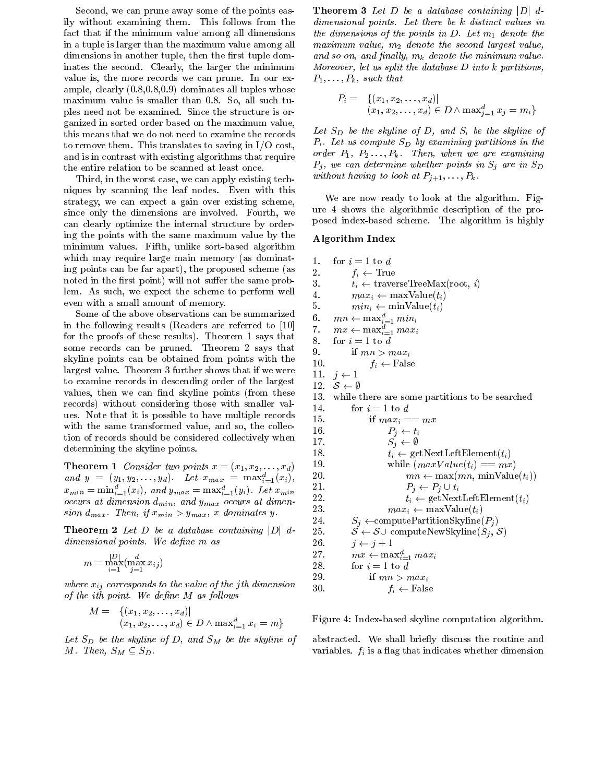Second, we can prune away some of the points easily without examining them. This follows from the fact that if the minimum value among all dimensions in a tuple is larger than the maximum value among all dimensions in another tuple, then the first tuple dominates the second. Clearly, the larger the minimum value is, the more records we can prune. In our example, clearly (0.8,0.8,0.9) dominates all tuples whose maximum value is smaller than 0.8. So, all such tuples need not be examined. Since the structure is organized in sorted order based on the maximum value, to remove them. This translates to saving in I/O cost, and is in contrast with existing algorithms that require the entire relation to be scanned at least once.

Third, in the worst case, we can apply existing techniques by scanning the leaf nodes. Even with this strategy, we can expect a gain over existing scheme, since only the dimensions are involved. Fourth, we can clearly optimize the internal structure by ordering the points with the same maximum value by the minimum values. Fifth, unlike sort-based algorithm which may require large main memory (as dominating points can be far apart), the proposed scheme (as  $\qquad 2.$ noted in the first point) will not suffer the same prob- $\frac{3}{6}$ . lem. As such, we expect the scheme to perform well  $\overline{4}$ . even with asmall amount of memory.

Some of the above observations can be summarized  $6.$ in the following results (Readers are referred to  $[10]$  7. for the proofs of these results). Theorem 1 says that  $\frac{1}{8}$ . some records can be pruned. Theorem 2 says that  $\frac{6}{9}$ . skyline points can be obtained from points with the  $\frac{5}{10}$ . largest value. Theorem 3 further showsthat if we were to examine records in descending order of the largest values, then we can find skyline points (from these  $\frac{12}{13}$ ) records) without considering those with smaller val $\frac{1}{14}$ . ues. Note that it is possible to have multiple records  $\frac{1}{15}$ . with the same transformed value, and so, the collec- $\frac{13}{16}$ . tion of records should be considered collectively when  $\frac{17}{17}$ . determining the skyline points.

**Theorem 1** Consider two points  $x = (x_1, x_2, \ldots, x_d)$  19.<br>and  $y = (y_1, y_2, \ldots, y_d)$  Let  $x = \max_d (x_i)$  20. and  $y = (y_1, y_2, \ldots, y_d)$ . Let  $x_{max} = max_{i=1}^d (x_i)$ , 20.  $x_{min} = \min_{i=1}^a (x_i)$ , and  $y_{max} = \max_{i=1}^a (y_i)$ . Let  $x_{min} = \frac{21}{20}$ . occurs at dimension  $d_{min}$ , and  $y_{max}$  occurs at dimen-<br>
sign d Then if  $x = y$  at deminates  $y = 23$ . sion  $d_{max}$ . Then, if  $x_{min} > y_{max}$ , x dominates y.  $\begin{array}{c} 23. \\ 24. \end{array}$ 

**Theorem 2** Let D be a database containing  $|D|$  d- 25.  $dimensional points. We define m as 26.$ 

$$
m=\max_{i=1}^{|D|}(\max_{j=1}^d x_{ij})
$$

where  $x_{ij}$  corresponds to the value of the jth dimension  $\begin{array}{c} 29. \\ 30. \end{array}$ of the ith point. We define  $M$  as follows

$$
M = \{(x_1, x_2, \dots, x_d) | (x_1, x_2, \dots, x_d) \in D \land \max_{i=1}^d x_i = m \}
$$
 Figure 4: Index-b

Let  $S_D$  be the skyline of D, and  $S_M$  be the skyline of M. Then,  $S_M \subseteq S_D$ .

**Theorem 3** Let  $D$  be a database containing  $|D|$  ddimensional points. Let there be k distinct values in the dimensions of the points in  $D$ . Let  $m_1$  denote the maximum value,  $m_2$  denote the second largest value, and so on, and finally,  $m_k$  denote the minimum value. Moreover, let us split the database D into k partitions,  $P_1,\ldots,P_k$ , such that

$$
P_i = \quad \{ (x_1,x_2,\ldots,x_d) |\\ (x_1,x_2,\ldots,x_d) \in D \land \max_{j=1}^d x_j = m_i \}
$$

this means that we do not need to examine the records<br>to remove them. This translates to saying in  $I/O_{\text{cost}}$   $P_i$ . Let us compute  $S_D$  by examining partitions in the Let  $S_D$  be the skyline of D, and  $S_i$  be the skyline of order  $P_1, P_2 \ldots, P_k$ . Then, when we are examining  $P_j$ , we can determine whether points in  $S_j$  are in  $S_D$ without having to look at  $P_{j+1},\ldots,P_k$ .

> We are now ready to look at the algorithm. Figure 4 shows the algorithmic description of the proposed index-based scheme. The algorithm is highly

#### Algorithm Index

for  $i = 1$  to d  $f_i \leftarrow \text{True}$  $t_i \leftarrow \text{traverseTreeMax(root}, i)$  $max_i \leftarrow \text{maxValue}(t_i)$ 5.  $min_i \leftarrow minValue(t_i)$ 0.  $mn \leftarrow \max_{i=1} m_i$  $\cdots$   $mx \leftarrow \max_{i=1} max_i$ for  $i = 1$  to d if  $mn > max_i$  $f_i \leftarrow$  False 11.  $j \leftarrow 1$ 12. S ; while there are some partitions to be searched for  $i = 1$  to d if  $max_i == mx$  $P_j \leftarrow t_i$  $S_i \leftarrow \emptyset$ 18.  $t_i \leftarrow \text{getNextLeftElement}(t_i)$ while  $(maxValue(t_i) == mx)$  $mn \leftarrow \max(mn, \minValue(t_i))$ 21.  $P_j \leftarrow P_j \cup t_i$  $t_i \leftarrow \text{getNextLeftElement}(t_i)$  $max_i \leftarrow \text{maxValue}(t_i)$  $S_i \leftarrow$ computePartitionSkyline $(P_i)$  $25.5$  Spin s Si  $\sim$  S) s such that  $\sim$  S) s such that  $\sim$  S) s such that  $\sim$  S) s such that  $\sim$  $j \leftarrow j + 1$ 21.  $mx \leftarrow \max_{i=1} max_i$ 28. for  $i = 1$  to  $d$ if  $mn > max_i$  $f_i \leftarrow$  False

Figure 4: Index-based skyline computation algorithm.

abstracted. We shall briefly discuss the routine and variables.  $f_i$  is a flag that indicates whether dimension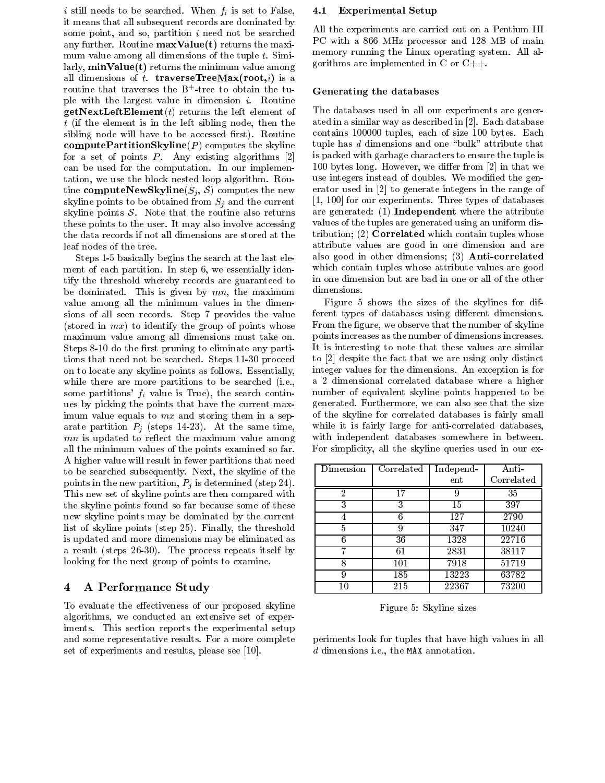i still needs to be searched. When  $f_i$  is set to False, it means that all subsequent records are dominated by some point, and so, partition i need not be searched any further. Routine  $maxValue(t)$  returns the maximum value among all dimensions of the tuple  $t$ . Similarly,  $\min$ Value(t) returns the minimum value among all dimensions of t. traverseTreeMax(root, $i$ ) is a routine that traverses the B+tree to obtain the tu- (feners ple with the largest value in dimension  $i$ . Routine  $getNextLeftElement(t)$  returns the left element of  $t$  (if the element is in the left sibling node, then the sibling node will have to be accessed first). Routine computePartitionSkyline $(P)$  computes the skyline for a set of points  $P$ . Any existing algorithms  $[2]$ can be used for the computation. In our implementation, we use the block nested loop algorithm. Routine computeNewSkyline( $S_j$ ,  $\mathcal{S}$ ) computes the new skyline points to be obtained from  $S_i$  and the current skyline points S. S. T. T. Note that the routine also returns also returns also returns also returns also retu these points to the user. It may also involve accessing the data records if not all dimensions are stored at the leaf nodes of the tree.

Steps 1-5 basically begins the search at the last element of each partition. In step 6, we essentially identify the threshold whereby records are guaranteed to be dominated. This is given by  $mn$ , the maximum value among all the minimum values in the dimensions of all seen records. Step 7 provides the value (stored in  $mx$ ) to identify the group of points whose maximum value among all dimensions must take on. Steps 8-10 do the first pruning to eliminate any partitions that need not be searched. Steps 11-30 proceed on to locate any skyline points as follows. Essentially, while there are more partitions to be searched (i.e., some partitions'  $f_i$  value is True), the search continues by picking the points that have the current maximum value equals to  $mx$  and storing them in a separate partition  $P_j$  (steps 14-23). At the same time,  $mn$  is updated to reflect the maximum value among all the minimum values of the points examined so far. A higher value will result in fewer partitions that need to be searched subsequently. Next, the skyline of the points in the new partition,  $P_j$  is determined (step 24). This new set of skyline points are then compared with the skyline points found so far because some of these new skyline points may be dominated by the current list of skyline points (step 25). Finally, the threshold is updated and more dimensions may be eliminated as a result (steps 26-30). The process repeats itself by looking for the next group of points to examine.

### 4 A Performance Study

To evaluate the effectiveness of our proposed skyline algorithms, we conducted an extensive set of experiments. This section reports the experimental setup and some representative results. For a more complete set of experiments and results, please see [10].

### 4.1 Experimental Setup

All the experiments are carried out on a Pentium III PC with a 866 MHz processor and 128 MB of main memory running the Linux operating system. All algorithms are implemented in C or C++.

### Generating the databases

The databases used in all our experiments are generated in a similar way as described in [2]. Each database contains 100000 tuples, each of size 100 bytes. Each tuple has  $d$  dimensions and one "bulk" attribute that is packed with garbage characters to ensure the tuple is 100 bytes long. However, we differ from  $[2]$  in that we use integers instead of doubles. We modified the generator used in  $[2]$  to generate integers in the range of [1, 100] for our experiments. Three types of databases are generated: (1) Independent where the attribute values of the tuples are generated using an uniform distribution; (2) Correlated which contain tuples whose attribute values are good in one dimension and are also good in other dimensions; (3) Anti-correlated which contain tuples whose attribute values are good in one dimension but are bad in one or allof the other dimensions.

Figure 5 shows the sizes of the skylines for different types of databases using different dimensions. From the figure, we observe that the number of skyline points increases as the number of dimensions increases. It is interesting to note that these values are similar to [2] despite the fact that we are using only distinct integer values for the dimensions. An exception is for a 2 dimensional correlated database where a higher number of equivalent skyline points happened to be generated. Furthermore, we can also see that the size of the skyline for correlated databases is fairly small while it is fairly large for anti-correlated databases, with independent databases somewhere in between. For simplicity, all the skyline queries used in our ex-

| Dimension | Correlated | Independ- | $\rm Anti$ |  |
|-----------|------------|-----------|------------|--|
|           |            | ent       | Correlated |  |
| 2         | 17         | 9         | 35         |  |
| 3         | 3          | 15        | 397        |  |
| 4         | 6          | 127       | 2790       |  |
| 5         |            | 347       | 10240      |  |
| 6         | 36         | 1328      | 22716      |  |
| ד         | 61         | 2831      | 38117      |  |
| 8         | 101        | 7918      | 51719      |  |
| 9         | 185        | 13223     | 63782      |  |
| 10        | 215        | 22367     | 73200      |  |

Figure 5: Skyline sizes

periments look for tuples that have high values in all d dimensions i.e., the MAX annotation.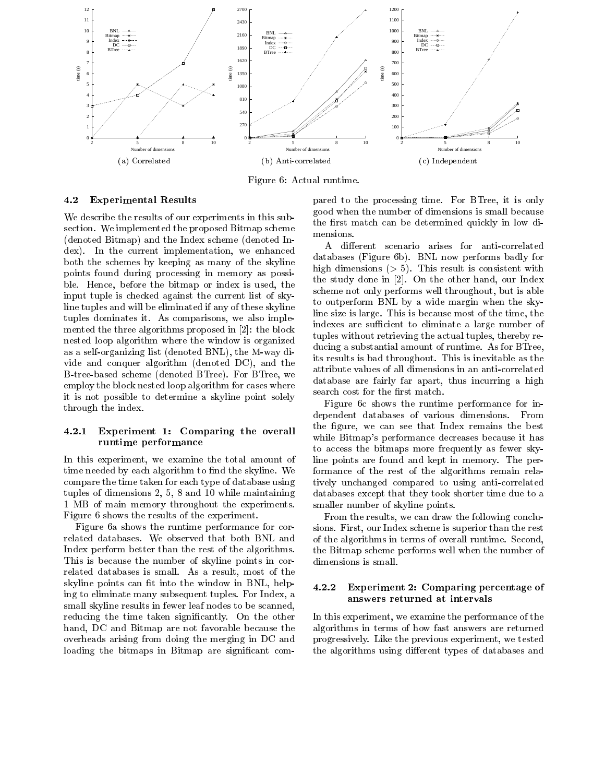

Figure 6: Actual runtime.

### 4.2 Experimental Results

We describe the results of our experiments in this subsection. We implemented the proposed Bitmap scheme (denoted Bitmap) and the Index scheme (denoted Index). In the current implementation, we enhanced both the schemes by keeping as many of the skyline points found during processing in memory as possible. Hence, before the bitmap or index is used, the input tuple is checked against the current list of skyline tuples and will be eliminated if any of these skyline tuples dominates it. As comparisons, we also implemented the three algorithms proposed in  $[2]$ : the block nested loop algorithm where the window is organized as a self-organizing list (denoted BNL), the M-way divide and conquer algorithm (denoted DC), and the B-tree-based scheme (denoted BTree). For BTree, we employ the block nested loop algorithm for cases where it is not possible to determine a skyline point solely through the index.

### 4.2.1 Experiment 1: Comparing the overall runtime performance

In this experiment, we examine the total amount of time needed by each algorithm to find the skyline. We compare the time taken for each type of database using tuples of dimensions 2, 5, 8 and 10 while maintaining 1 MB of main memory throughout the experiments. Figure 6 shows the results of the experiment.

Figure 6a shows the runtime performance for correlated databases. We observed that both BNL and Index perform better than therest of the algorithms. This is because the number of skyline points in correlated databases is small. As a result, most of the skyline points can fit into the window in BNL, help- $4.2.2$ ing to eliminate many subsequent tuples. For Index, a small skyline results in fewer leaf nodes to be scanned, reducing the time taken signicantly. On the other hand, DC and Bitmap are not favorable because the overheads arising from doing the merging in DC and loading the bitmaps in Bitmap are signicant com-

pared to the processing time. For BTree, it is only good when the number of dimensions is small because the first match can be determined quickly in low dimensions.

A different scenario arises for anti-correlated databases (Figure 6b). BNL now performs badly for high dimensions  $(> 5)$ . This result is consistent with the study done in [2]. On the other hand, our Index scheme not only performs well throughout, but is able to outperform BNL by a wide margin when the skyline size is large. This is because most of the time, the indexes are sufficient to eliminate a large number of tuples without retrieving the actual tuples, thereby reducing a substantial amount of runtime. As for BTree, its results is bad throughout. This is inevitable as the attribute values of all dimensions in an anti-correlated database are fairly far apart, thus incurring a high search cost for the first match.

Figure 6c shows the runtime performance for independent databases of various dimensions. From the figure, we can see that Index remains the best while Bitmap's performance decreases because it has to access the bitmaps more frequently as fewer skyline points are found and kept in memory. The performance of the rest of the algorithms remain relatively unchanged compared to using anti-correlated databases except that they took shorter time due to a smaller number of skyline points.

From the results, we can draw the following conclusions. First, our Index scheme is superior than the rest of the algorithms in terms of overall runtime. Second, the Bitmap scheme performs well when the number of dimensions is small.

### Experiment 2: Comparing percentage of answers returned at intervals

In this experiment, we examine the performance of the algorithms in terms of how fast answers are returned progressively. Like the previous experiment, we tested the algorithms using different types of databases and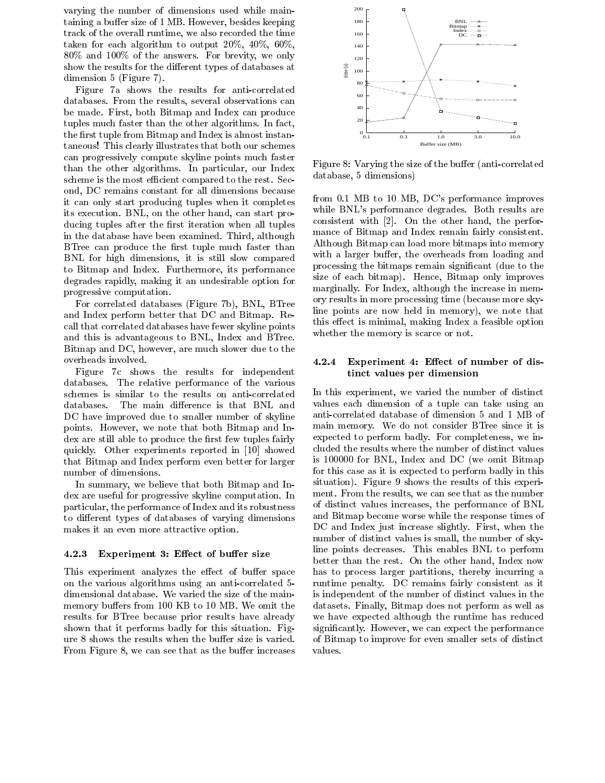varying the number of dimensions used while maintaining a buffer size of 1 MB. However, besides keeping track of the overall runtime, we also recorded thetime taken for each algorithm to output 20%, 40%, 60%, 80% and 100% of the answers. For brevity, we only show the results for the different types of databases at dimension 5(Figure 7).

Figure 7a shows the results for anti-correlated databases. From the results, several observations can be made. First, both Bitmap and Index can produce tuples much faster than the other algorithms. In fact, the first tuple from Bitmap and Index is almost instantaneous! This clearly illustrates that both our schemes can progressively compute skyline points much faster than the other algorithms. In particular, our Index scheme is the most efficient compared to the rest. Second, DC remains constant for all dimensions because it can only start producing tuples when it completes its execution. BNL, on the other hand, can start producing tuples after the first iteration when all tuples in the database have been examined. Third, although BTree can produce the first tuple much faster than BNL for high dimensions, it is still slow compared to Bitmap and Index. Furthermore, its performance degrades rapidly, making it an undesirable option for progressive computation.

For correlated databases (Figure 7b), BNL, BTree and Index perform better that DC and Bitmap. Recall that correlated databases have fewer skyline points and this is advantageous to BNL, Index and BTree. Bitmap and DC, however, are much slower due to the overheads involved.

Figure 7c shows the results for independent databases. The relative performance of the various schemes is similar to the results on anti-correlated databases. The main difference is that BNL and DC have improved due to smaller number of skyline points. However, we note that both Bitmap and Index are still able to produce the first few tuples fairly quickly. Other experiments reported in [10] showed that Bitmap and Index perform even better for larger number of dimensions.

In summary, we believe that both Bitmap and Index are useful for progressive skyline computation. In particular, the performance of Index and its robustness to different types of databases of varying dimensions makes it an even more attractive option.

### 4.2.3 Experiment 3: Effect of buffer size

This experiment analyzes the effect of buffer space on the various algorithms using an anti-correlated 5 dimensional database. We varied the size of the mainmemory buffers from 100 KB to 10 MB. We omit the results for BTree because prior results have already shown that it performs badly for this situation. Figure 8 shows the results when the buffer size is varied. From Figure 8, we can see that as the buffer increases



Figure 8: Varying the size of the buffer (anti-correlated database, 5 dimensions)

from 0.1 MB to 10 MB, DC's performance improves while BNL's performance degrades. Both results are consistent with [2]. On the other hand, the performance of Bitmap and Index remain fairly consistent. Although Bitmap can load more bitmaps into memory with a larger buffer, the overheads from loading and processing the bitmaps remain signicant (due to the size of each bitmap). Hence, Bitmap only improves marginally. For Index, although the increase in memory results in more processing time (because more skyline points are now held in memory), we note that this effect is minimal, making Index a feasible option whether the memory is scarce or not.

### 4.2.4 Experiment 4: Effect of number of distinct values per dimension

In this experiment, we varied the number of distinct values each dimension of a tuple can take using an anti-correlated database of dimension 5and 1MB of main memory. We do not consider BTree since it is expected to perform badly. For completeness, we included the results where the number of distinct values is 100000 for BNL, Index and DC (we omit Bitmap for this case as it is expected to perform badly in this situation). Figure 9 shows the results of this experiment. From the results, we can see that as the number of distinct values increases, the performance of BNL and Bitmap become worse while the response times of DC and Index just increase slightly. First, when the number of distinct values is small, the number of skyline points decreases. This enables BNL to perform better than the rest. On the other hand, Index now has to process larger partitions, thereby incurring a runtime penalty. DC remains fairly consistent as it is independent of the number of distinct values in the datasets. Finally, Bitmap does not perform as well as we have expected although the runtime has reduced signicantly. However, we can expect the performance of Bitmap to improve for even smaller sets of distinct values.